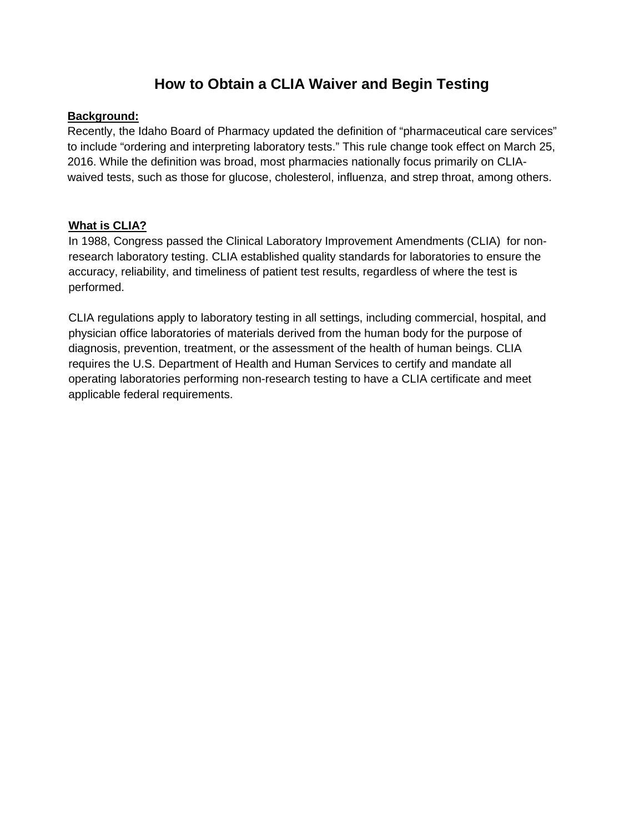# **How to Obtain a CLIA Waiver and Begin Testing**

#### **Background:**

Recently, the Idaho Board of Pharmacy updated the definition of "pharmaceutical care services" to include "ordering and interpreting laboratory tests." This rule change took effect on March 25, 2016. While the definition was broad, most pharmacies nationally focus primarily on CLIAwaived tests, such as those for glucose, cholesterol, influenza, and strep throat, among others.

## **What is CLIA?**

In 1988, Congress passed the Clinical Laboratory Improvement Amendments (CLIA) for nonresearch laboratory testing. CLIA established quality standards for laboratories to ensure the accuracy, reliability, and timeliness of patient test results, regardless of where the test is performed.

CLIA regulations apply to laboratory testing in all settings, including commercial, hospital, and physician office laboratories of materials derived from the human body for the purpose of diagnosis, prevention, treatment, or the assessment of the health of human beings. CLIA requires the U.S. Department of Health and Human Services to certify and mandate all operating laboratories performing non-research testing to have a CLIA certificate and meet applicable federal requirements.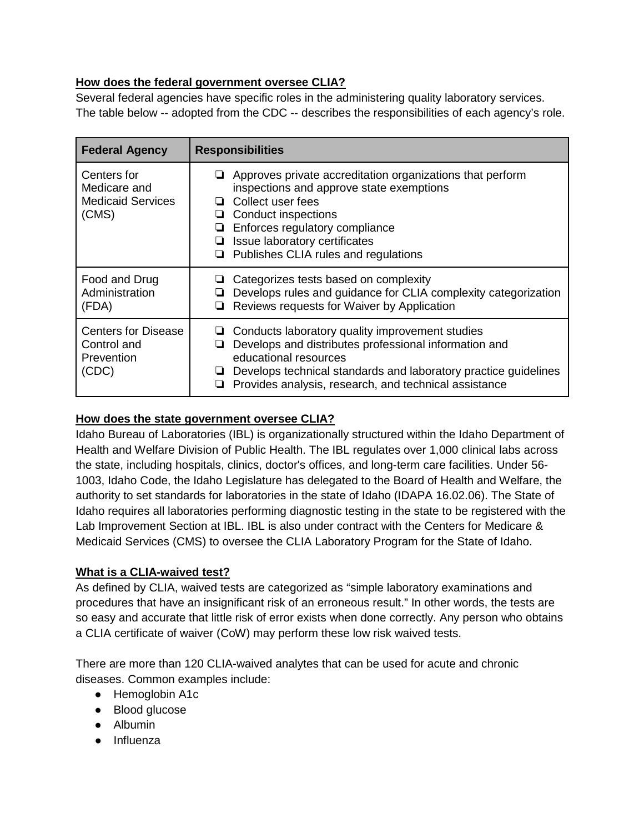#### **How does the federal government oversee CLIA?**

Several federal agencies have specific roles in the administering quality laboratory services. The table below -- adopted from the CDC -- describes the responsibilities of each agency's role.

| <b>Federal Agency</b>                                            | <b>Responsibilities</b>                                                                                                                                                                                                                                                                       |
|------------------------------------------------------------------|-----------------------------------------------------------------------------------------------------------------------------------------------------------------------------------------------------------------------------------------------------------------------------------------------|
| Centers for<br>Medicare and<br><b>Medicaid Services</b><br>(CMS) | $\Box$ Approves private accreditation organizations that perform<br>inspections and approve state exemptions<br>Collect user fees<br>ப<br>Conduct inspections<br>⊔<br>Enforces regulatory compliance<br>⊔<br>Issue laboratory certificates<br>⊔<br>Publishes CLIA rules and regulations<br>u. |
| Food and Drug<br>Administration<br>(FDA)                         | Categorizes tests based on complexity<br>Develops rules and guidance for CLIA complexity categorization<br>Reviews requests for Waiver by Application<br>❏                                                                                                                                    |
| <b>Centers for Disease</b><br>Control and<br>Prevention<br>(CDC) | Conducts laboratory quality improvement studies<br>Develops and distributes professional information and<br>ப<br>educational resources<br>Develops technical standards and laboratory practice guidelines<br>⊔<br>Provides analysis, research, and technical assistance                       |

# **How does the state government oversee CLIA?**

Idaho Bureau of Laboratories (IBL) is organizationally structured within the Idaho Department of Health and Welfare Division of Public Health. The IBL regulates over 1,000 clinical labs across the state, including hospitals, clinics, doctor's offices, and long-term care facilities. Under 56- 1003, Idaho Code, the Idaho Legislature has delegated to the Board of Health and Welfare, the authority to set standards for laboratories in the state of Idaho (IDAPA 16.02.06). The State of Idaho requires all laboratories performing diagnostic testing in the state to be registered with the Lab Improvement Section at IBL. IBL is also under contract with the Centers for Medicare & Medicaid Services (CMS) to oversee the CLIA Laboratory Program for the State of Idaho.

#### **What is a CLIA-waived test?**

As defined by CLIA, waived tests are categorized as "simple laboratory examinations and procedures that have an insignificant risk of an erroneous result." In other words, the tests are so easy and accurate that little risk of error exists when done correctly. Any person who obtains a CLIA certificate of waiver (CoW) may perform these low risk waived tests.

There are more than 120 CLIA-waived analytes that can be used for acute and chronic diseases. Common examples include:

- Hemoglobin A1c
- Blood glucose
- Albumin
- Influenza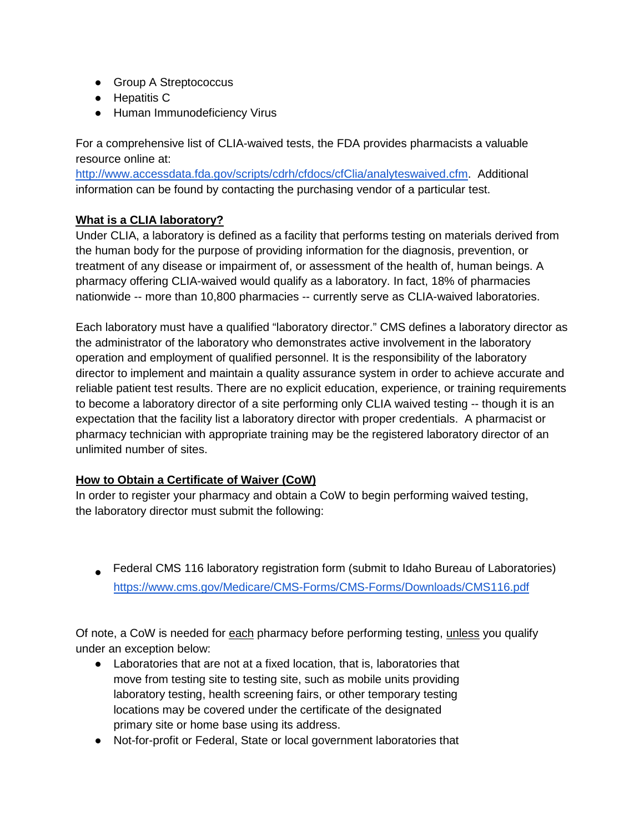- Group A Streptococcus
- Hepatitis C
- Human Immunodeficiency Virus

For a comprehensive list of CLIA-waived tests, the FDA provides pharmacists a valuable resource online at:

[http://www.accessdata.fda.gov/scripts/cdrh/cfdocs/cfClia/analyteswaived.cfm.](http://www.accessdata.fda.gov/scripts/cdrh/cfdocs/cfClia/analyteswaived.cfm) Additional information can be found by contacting the purchasing vendor of a particular test.

## **What is a CLIA laboratory?**

Under CLIA, a laboratory is defined as a facility that performs testing on materials derived from the human body for the purpose of providing information for the diagnosis, prevention, or treatment of any disease or impairment of, or assessment of the health of, human beings. A pharmacy offering CLIA-waived would qualify as a laboratory. In fact, 18% of pharmacies nationwide -- more than 10,800 pharmacies -- currently serve as CLIA-waived laboratories.

Each laboratory must have a qualified "laboratory director." CMS defines a laboratory director as the administrator of the laboratory who demonstrates active involvement in the laboratory operation and employment of qualified personnel. It is the responsibility of the laboratory director to implement and maintain a quality assurance system in order to achieve accurate and reliable patient test results. There are no explicit education, experience, or training requirements to become a laboratory director of a site performing only CLIA waived testing -- though it is an expectation that the facility list a laboratory director with proper credentials. A pharmacist or pharmacy technician with appropriate training may be the registered laboratory director of an unlimited number of sites.

#### **How to Obtain a Certificate of Waiver (CoW)**

In order to register your pharmacy and obtain a CoW to begin performing waived testing, the laboratory director must submit the following:

■ [Federal CMS 116 labora](http://www.keysurvey.com/votingmodule/VOTING3/f/993225/d72c/?msig=f88532fc59887c0f4460c191b015aeea)tory registration form (submit to Idaho Bureau of Laboratories) <https://www.cms.gov/Medicare/CMS-Forms/CMS-Forms/Downloads/CMS116.pdf>

Of note, a CoW is needed for each pharmacy before performing testing, unless you qualify under an exception below:

- Laboratories that are not at a fixed location, that is, laboratories that move from testing site to testing site, such as mobile units providing laboratory testing, health screening fairs, or other temporary testing locations may be covered under the certificate of the designated primary site or home base using its address.
- Not-for-profit or Federal, State or local government laboratories that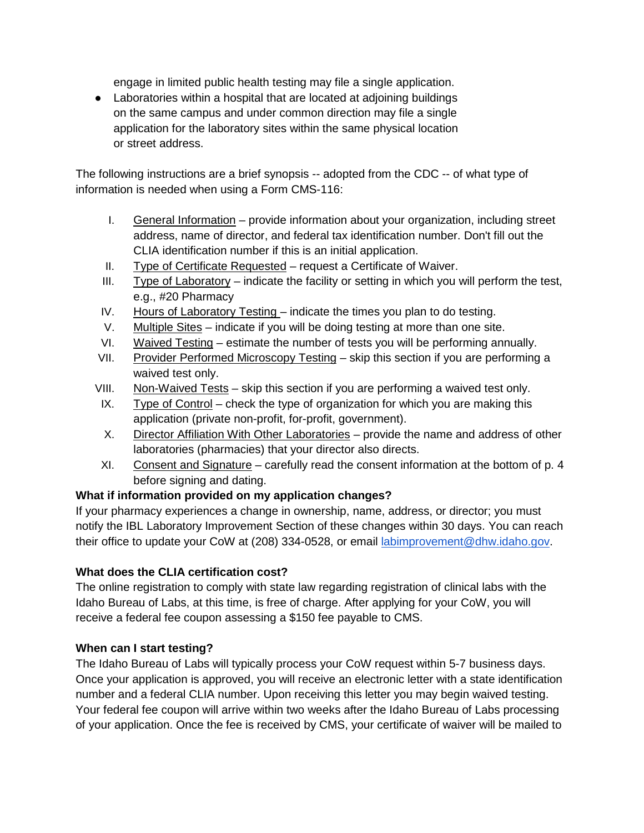engage in limited public health testing may file a single application.

● Laboratories within a hospital that are located at adjoining buildings on the same campus and under common direction may file a single application for the laboratory sites within the same physical location or street address.

The following instructions are a brief synopsis -- adopted from the CDC -- of what type of information is needed when using a Form CMS-116:

- I. General Information provide information about your organization, including street address, name of director, and federal tax identification number. Don't fill out the CLIA identification number if this is an initial application.
- II. Type of Certificate Requested request a Certificate of Waiver.
- III. Type of Laboratory indicate the facility or setting in which you will perform the test, e.g., #20 Pharmacy
- IV. Hours of Laboratory Testing indicate the times you plan to do testing.
- V. Multiple Sites indicate if you will be doing testing at more than one site.
- VI. Waived Testing estimate the number of tests you will be performing annually.
- VII. Provider Performed Microscopy Testing skip this section if you are performing a waived test only.
- VIII. Non-Waived Tests skip this section if you are performing a waived test only.
- IX. Type of Control check the type of organization for which you are making this application (private non-profit, for-profit, government).
- X. Director Affiliation With Other Laboratories provide the name and address of other laboratories (pharmacies) that your director also directs.
- XI. Consent and Signature carefully read the consent information at the bottom of p. 4 before signing and dating.

# **What if information provided on my application changes?**

If your pharmacy experiences a change in ownership, name, address, or director; you must notify the IBL Laboratory Improvement Section of these changes within 30 days. You can reach their office to update your CoW at (208) 334-0528, or email [labimprovement@dhw.idaho.gov.](mailto:labimprovement@dhw.idaho.gov)

# **What does the CLIA certification cost?**

The online registration to comply with state law regarding registration of clinical labs with the Idaho Bureau of Labs, at this time, is free of charge. After applying for your CoW, you will receive a federal fee coupon assessing a \$150 fee payable to CMS.

#### **When can I start testing?**

The Idaho Bureau of Labs will typically process your CoW request within 5-7 business days. Once your application is approved, you will receive an electronic letter with a state identification number and a federal CLIA number. Upon receiving this letter you may begin waived testing. Your federal fee coupon will arrive within two weeks after the Idaho Bureau of Labs processing of your application. Once the fee is received by CMS, your certificate of waiver will be mailed to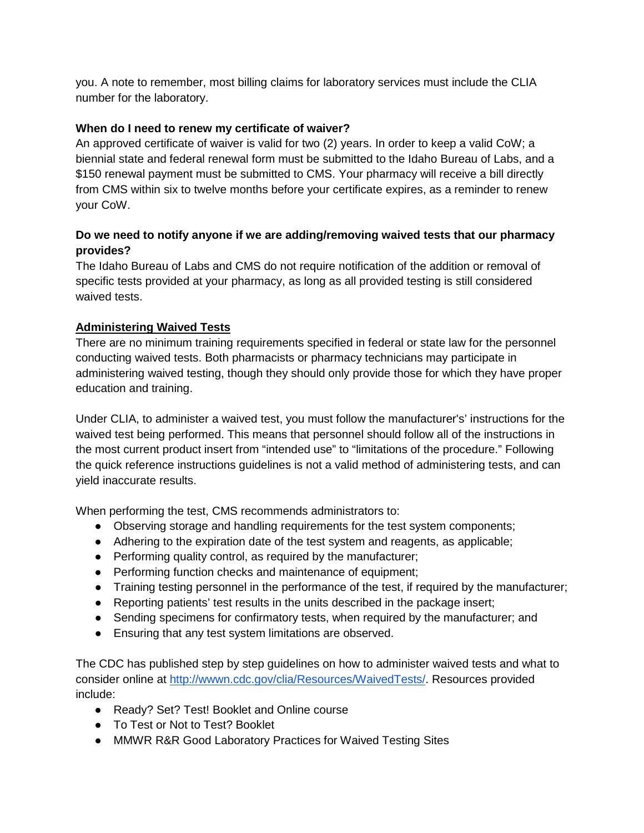you. A note to remember, most billing claims for laboratory services must include the CLIA number for the laboratory.

#### **When do I need to renew my certificate of waiver?**

An approved certificate of waiver is valid for two (2) years. In order to keep a valid CoW; a biennial state and federal renewal form must be submitted to the Idaho Bureau of Labs, and a \$150 renewal payment must be submitted to CMS. Your pharmacy will receive a bill directly from CMS within six to twelve months before your certificate expires, as a reminder to renew your CoW.

#### **Do we need to notify anyone if we are adding/removing waived tests that our pharmacy provides?**

The Idaho Bureau of Labs and CMS do not require notification of the addition or removal of specific tests provided at your pharmacy, as long as all provided testing is still considered waived tests.

#### **Administering Waived Tests**

There are no minimum training requirements specified in federal or state law for the personnel conducting waived tests. Both pharmacists or pharmacy technicians may participate in administering waived testing, though they should only provide those for which they have proper education and training.

Under CLIA, to administer a waived test, you must follow the manufacturer's' instructions for the waived test being performed. This means that personnel should follow all of the instructions in the most current product insert from "intended use" to "limitations of the procedure." Following the quick reference instructions guidelines is not a valid method of administering tests, and can yield inaccurate results.

When performing the test, CMS recommends administrators to:

- Observing storage and handling requirements for the test system components;
- Adhering to the expiration date of the test system and reagents, as applicable;
- Performing quality control, as required by the manufacturer;
- Performing function checks and maintenance of equipment;
- Training testing personnel in the performance of the test, if required by the manufacturer;
- Reporting patients' test results in the units described in the package insert;
- Sending specimens for confirmatory tests, when required by the manufacturer; and
- Ensuring that any test system limitations are observed.

The CDC has published step by step guidelines on how to administer waived tests and what to consider online at [http://wwwn.cdc.gov/clia/Resources/WaivedTests/.](http://wwwn.cdc.gov/clia/Resources/WaivedTests/) Resources provided include:

- Ready? Set? Test! Booklet and Online course
- To Test or Not to Test? Booklet
- MMWR R&R Good Laboratory Practices for Waived Testing Sites